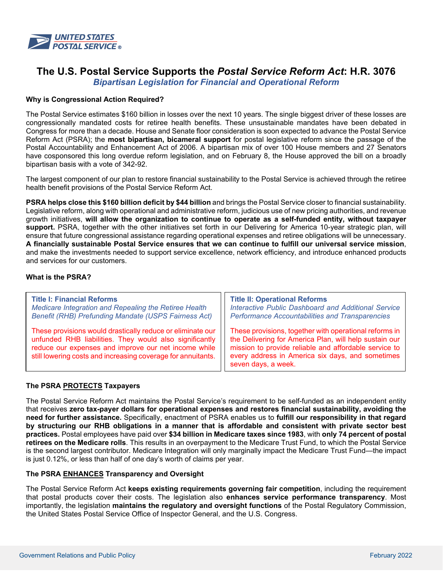

# **The U.S. Postal Service Supports the** *Postal Service Reform Act***: H.R. 3076**

*Bipartisan Legislation for Financial and Operational Reform*

## **Why is Congressional Action Required?**

The Postal Service estimates \$160 billion in losses over the next 10 years. The single biggest driver of these losses are congressionally mandated costs for retiree health benefits. These unsustainable mandates have been debated in Congress for more than a decade. House and Senate floor consideration is soon expected to advance the Postal Service Reform Act (PSRA); the **most bipartisan, bicameral support** for postal legislative reform since the passage of the Postal Accountability and Enhancement Act of 2006. A bipartisan mix of over 100 House members and 27 Senators have cosponsored this long overdue reform legislation, and on February 8, the House approved the bill on a broadly bipartisan basis with a vote of 342-92.

The largest component of our plan to restore financial sustainability to the Postal Service is achieved through the retiree health benefit provisions of the Postal Service Reform Act.

**PSRA helps close this \$160 billion deficit by \$44 billion** and brings the Postal Service closer to financial sustainability. Legislative reform, along with operational and administrative reform, judicious use of new pricing authorities, and revenue growth initiatives, **will allow the organization to continue to operate as a self-funded entity, without taxpayer support.** PSRA, together with the other initiatives set forth in our Delivering for America 10-year strategic plan, will ensure that future congressional assistance regarding operational expenses and retiree obligations will be unnecessary. **A financially sustainable Postal Service ensures that we can continue to fulfill our universal service mission**, and make the investments needed to support service excellence, network efficiency, and introduce enhanced products and services for our customers.

### **What is the PSRA?**

| <b>Title I: Financial Reforms</b>                                                                                                                                                                                                             | <b>Title II: Operational Reforms</b>                                                                                                                                                                                                                 |
|-----------------------------------------------------------------------------------------------------------------------------------------------------------------------------------------------------------------------------------------------|------------------------------------------------------------------------------------------------------------------------------------------------------------------------------------------------------------------------------------------------------|
| Medicare Integration and Repealing the Retiree Health                                                                                                                                                                                         | <b>Interactive Public Dashboard and Additional Service</b>                                                                                                                                                                                           |
| <b>Benefit (RHB) Prefunding Mandate (USPS Fairness Act)</b>                                                                                                                                                                                   | <b>Performance Accountabilities and Transparencies</b>                                                                                                                                                                                               |
| These provisions would drastically reduce or eliminate our<br>unfunded RHB liabilities. They would also significantly<br>reduce our expenses and improve our net income while<br>still lowering costs and increasing coverage for annuitants. | These provisions, together with operational reforms in<br>the Delivering for America Plan, will help sustain our<br>mission to provide reliable and affordable service to<br>every address in America six days, and sometimes<br>seven days, a week. |

### **The PSRA PROTECTS Taxpayers**

The Postal Service Reform Act maintains the Postal Service's requirement to be self-funded as an independent entity that receives **zero tax-payer dollars for operational expenses and restores financial sustainability, avoiding the need for further assistance.** Specifically, enactment of PSRA enables us to **fulfill our responsibility in that regard by structuring our RHB obligations in a manner that is affordable and consistent with private sector best practices.** Postal employees have paid over **\$34 billion in Medicare taxes since 1983**, with **only 74 percent of postal retirees on the Medicare rolls**. This results in an overpayment to the Medicare Trust Fund, to which the Postal Service is the second largest contributor. Medicare Integration will only marginally impact the Medicare Trust Fund—the impact is just 0.12%, or less than half of one day's worth of claims per year.

### **The PSRA ENHANCES Transparency and Oversight**

The Postal Service Reform Act **keeps existing requirements governing fair competition**, including the requirement that postal products cover their costs. The legislation also **enhances service performance transparency**. Most importantly, the legislation **maintains the regulatory and oversight functions** of the Postal Regulatory Commission, the United States Postal Service Office of Inspector General, and the U.S. Congress.